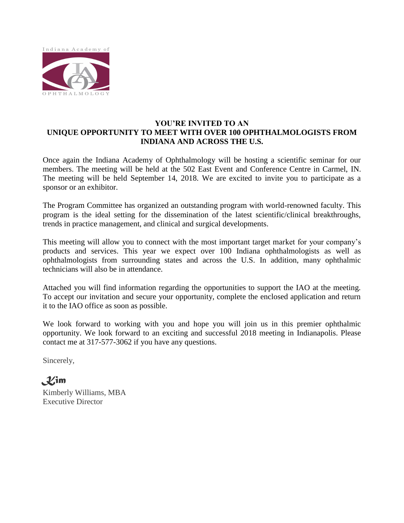

#### **YOU'RE INVITED TO AN UNIQUE OPPORTUNITY TO MEET WITH OVER 100 OPHTHALMOLOGISTS FROM INDIANA AND ACROSS THE U.S.**

Once again the Indiana Academy of Ophthalmology will be hosting a scientific seminar for our members. The meeting will be held at the 502 East Event and Conference Centre in Carmel, IN. The meeting will be held September 14, 2018. We are excited to invite you to participate as a sponsor or an exhibitor.

The Program Committee has organized an outstanding program with world-renowned faculty. This program is the ideal setting for the dissemination of the latest scientific/clinical breakthroughs, trends in practice management, and clinical and surgical developments.

This meeting will allow you to connect with the most important target market for your company's products and services. This year we expect over 100 Indiana ophthalmologists as well as ophthalmologists from surrounding states and across the U.S. In addition, many ophthalmic technicians will also be in attendance.

Attached you will find information regarding the opportunities to support the IAO at the meeting. To accept our invitation and secure your opportunity, complete the enclosed application and return it to the IAO office as soon as possible.

We look forward to working with you and hope you will join us in this premier ophthalmic opportunity. We look forward to an exciting and successful 2018 meeting in Indianapolis. Please contact me at 317-577-3062 if you have any questions.

Sincerely,

*Kim* Kimberly Williams, MBA Executive Director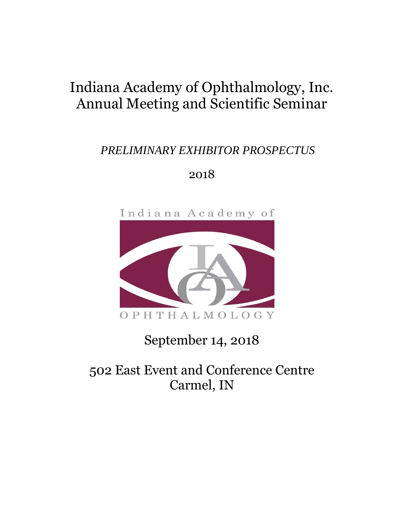# Indiana Academy of Ophthalmology, Inc. Annual Meeting and Scientific Seminar

### *PRELIMINARY EXHIBITOR PROSPECTUS*

### 2018



# September 14, 2018

## 502 East Event and Conference Centre Carmel, IN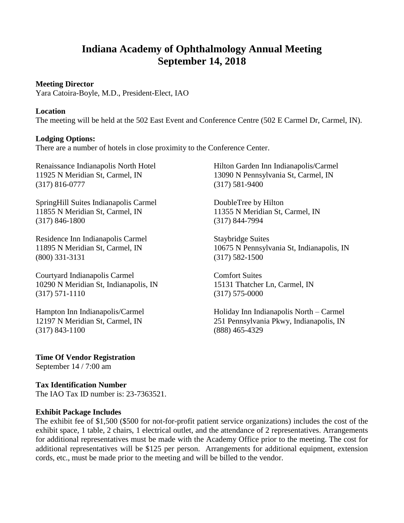### **Indiana Academy of Ophthalmology Annual Meeting September 14, 2018**

#### **Meeting Director**

Yara Catoira-Boyle, M.D., President-Elect, IAO

#### **Location**

The meeting will be held at the 502 East Event and Conference Centre (502 E Carmel Dr, Carmel, IN).

#### **Lodging Options:**

There are a number of hotels in close proximity to the Conference Center.

Renaissance Indianapolis North Hotel 11925 N Meridian St, Carmel, IN (317) 816-0777

SpringHill Suites Indianapolis Carmel 11855 N Meridian St, Carmel, IN (317) 846-1800

Residence Inn Indianapolis Carmel 11895 N Meridian St, Carmel, IN (800) 331-3131

Courtyard Indianapolis Carmel 10290 N Meridian St, Indianapolis, IN (317) 571-1110

Hampton Inn Indianapolis/Carmel 12197 N Meridian St, Carmel, IN (317) 843-1100

Hilton Garden Inn Indianapolis/Carmel 13090 N Pennsylvania St, Carmel, IN (317) 581-9400

DoubleTree by Hilton 11355 N Meridian St, Carmel, IN (317) 844-7994

Staybridge Suites 10675 N Pennsylvania St, Indianapolis, IN (317) 582-1500

Comfort Suites 15131 Thatcher Ln, Carmel, IN (317) 575-0000

Holiday Inn Indianapolis North – Carmel 251 Pennsylvania Pkwy, Indianapolis, IN (888) 465-4329

**Time Of Vendor Registration** September 14 / 7:00 am

#### **Tax Identification Number**

The IAO Tax ID number is: 23-7363521.

#### **Exhibit Package Includes**

The exhibit fee of \$1,500 (\$500 for not-for-profit patient service organizations) includes the cost of the exhibit space, 1 table, 2 chairs, 1 electrical outlet, and the attendance of 2 representatives. Arrangements for additional representatives must be made with the Academy Office prior to the meeting. The cost for additional representatives will be \$125 per person. Arrangements for additional equipment, extension cords, etc., must be made prior to the meeting and will be billed to the vendor.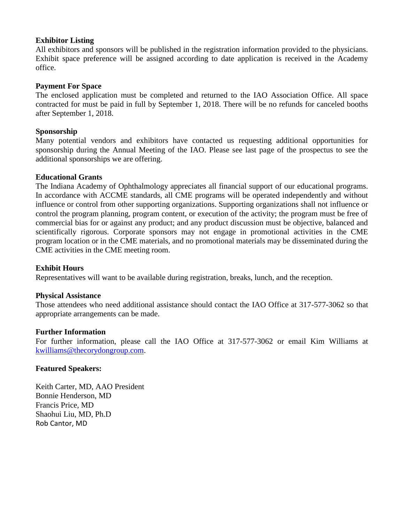#### **Exhibitor Listing**

All exhibitors and sponsors will be published in the registration information provided to the physicians. Exhibit space preference will be assigned according to date application is received in the Academy office.

#### **Payment For Space**

The enclosed application must be completed and returned to the IAO Association Office. All space contracted for must be paid in full by September 1, 2018. There will be no refunds for canceled booths after September 1, 2018.

#### **Sponsorship**

Many potential vendors and exhibitors have contacted us requesting additional opportunities for sponsorship during the Annual Meeting of the IAO. Please see last page of the prospectus to see the additional sponsorships we are offering.

#### **Educational Grants**

The Indiana Academy of Ophthalmology appreciates all financial support of our educational programs. In accordance with ACCME standards, all CME programs will be operated independently and without influence or control from other supporting organizations. Supporting organizations shall not influence or control the program planning, program content, or execution of the activity; the program must be free of commercial bias for or against any product; and any product discussion must be objective, balanced and scientifically rigorous. Corporate sponsors may not engage in promotional activities in the CME program location or in the CME materials, and no promotional materials may be disseminated during the CME activities in the CME meeting room.

#### **Exhibit Hours**

Representatives will want to be available during registration, breaks, lunch, and the reception.

#### **Physical Assistance**

Those attendees who need additional assistance should contact the IAO Office at 317-577-3062 so that appropriate arrangements can be made.

#### **Further Information**

For further information, please call the IAO Office at 317-577-3062 or email Kim Williams at [kwilliams@thecorydongroup.com.](mailto:kwilliams@thecorydongroup.com)

#### **Featured Speakers:**

Keith Carter, MD, AAO President Bonnie Henderson, MD Francis Price, MD Shaohui Liu, MD, Ph.D Rob Cantor, MD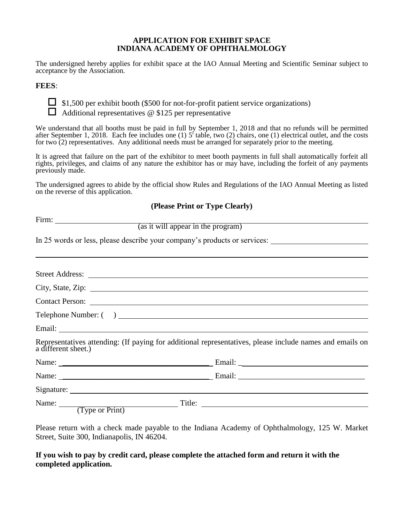#### **APPLICATION FOR EXHIBIT SPACE INDIANA ACADEMY OF OPHTHALMOLOGY**

The undersigned hereby applies for exhibit space at the IAO Annual Meeting and Scientific Seminar subject to acceptance by the Association.

#### **FEES**:



 $\Box$  \$1,500 per exhibit booth (\$500 for not-for-profit patient service organizations)

 $\Box$  Additional representatives @ \$125 per representative

We understand that all booths must be paid in full by September 1, 2018 and that no refunds will be permitted after September 1, 2018. Each fee includes one (1)  $5^{\prime}$  table, two (2) chairs, one (1) electrical outlet, and the costs for two (2) representatives. Any additional needs must be arranged for separately prior to the meeting.

It is agreed that failure on the part of the exhibitor to meet booth payments in full shall automatically forfeit all rights, privileges, and claims of any nature the exhibitor has or may have, including the forfeit of any payments previously made.

The undersigned agrees to abide by the official show Rules and Regulations of the IAO Annual Meeting as listed on the reverse of this application.

#### **(Please Print or Type Clearly)**

Firm:

(as it will appear in the program)

In 25 words or less, please describe your company's products or services:

| a different sheet.)                                     | Representatives attending: (If paying for additional representatives, please include names and emails on |
|---------------------------------------------------------|----------------------------------------------------------------------------------------------------------|
|                                                         |                                                                                                          |
|                                                         |                                                                                                          |
|                                                         |                                                                                                          |
| Name: $\frac{1}{(\text{Type or Print})^{\text{True}}}\$ | Title:                                                                                                   |

Please return with a check made payable to the Indiana Academy of Ophthalmology, 125 W. Market Street, Suite 300, Indianapolis, IN 46204.

**If you wish to pay by credit card, please complete the attached form and return it with the completed application.**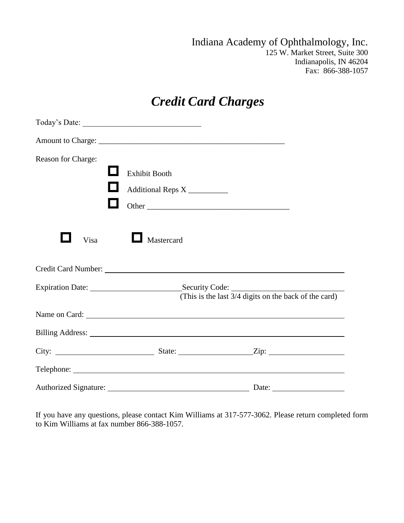Indiana Academy of Ophthalmology, Inc. 125 W. Market Street, Suite 300 Indianapolis, IN 46204 Fax: 866-388-1057

## *Credit Card Charges*

| Reason for Charge: |                             |                                                                                                                                                                                                                                      |  |
|--------------------|-----------------------------|--------------------------------------------------------------------------------------------------------------------------------------------------------------------------------------------------------------------------------------|--|
|                    | <b>Exhibit Booth</b>        |                                                                                                                                                                                                                                      |  |
|                    | Additional Reps X _________ |                                                                                                                                                                                                                                      |  |
|                    | Other                       |                                                                                                                                                                                                                                      |  |
| Visa               | Mastercard                  |                                                                                                                                                                                                                                      |  |
|                    |                             | Credit Card Number: Lawrence Credit Card Number:                                                                                                                                                                                     |  |
|                    |                             |                                                                                                                                                                                                                                      |  |
|                    |                             | Name on Card:                                                                                                                                                                                                                        |  |
|                    |                             | Billing Address: <u>and a set of the set of the set of the set of the set of the set of the set of the set of the set of the set of the set of the set of the set of the set of the set of the set of the set of the set of the </u> |  |
|                    |                             |                                                                                                                                                                                                                                      |  |
|                    |                             |                                                                                                                                                                                                                                      |  |
|                    |                             |                                                                                                                                                                                                                                      |  |

If you have any questions, please contact Kim Williams at 317-577-3062. Please return completed form to Kim Williams at fax number 866-388-1057.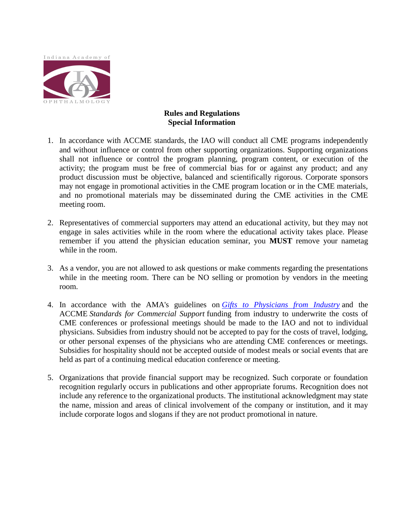

#### **Rules and Regulations Special Information**

- 1. In accordance with ACCME standards, the IAO will conduct all CME programs independently and without influence or control from other supporting organizations. Supporting organizations shall not influence or control the program planning, program content, or execution of the activity; the program must be free of commercial bias for or against any product; and any product discussion must be objective, balanced and scientifically rigorous. Corporate sponsors may not engage in promotional activities in the CME program location or in the CME materials, and no promotional materials may be disseminated during the CME activities in the CME meeting room.
- 2. Representatives of commercial supporters may attend an educational activity, but they may not engage in sales activities while in the room where the educational activity takes place. Please remember if you attend the physician education seminar, you **MUST** remove your nametag while in the room.
- 3. As a vendor, you are not allowed to ask questions or make comments regarding the presentations while in the meeting room. There can be NO selling or promotion by vendors in the meeting room.
- 4. In accordance with the AMA's guidelines on *[Gifts to Physicians from Industry](http://www.aao.org/aao/member/policy/gifts.cfm)* and the ACCME *Standards for Commercial Support* funding from industry to underwrite the costs of CME conferences or professional meetings should be made to the IAO and not to individual physicians. Subsidies from industry should not be accepted to pay for the costs of travel, lodging, or other personal expenses of the physicians who are attending CME conferences or meetings. Subsidies for hospitality should not be accepted outside of modest meals or social events that are held as part of a continuing medical education conference or meeting.
- 5. Organizations that provide financial support may be recognized. Such corporate or foundation recognition regularly occurs in publications and other appropriate forums. Recognition does not include any reference to the organizational products. The institutional acknowledgment may state the name, mission and areas of clinical involvement of the company or institution, and it may include corporate logos and slogans if they are not product promotional in nature.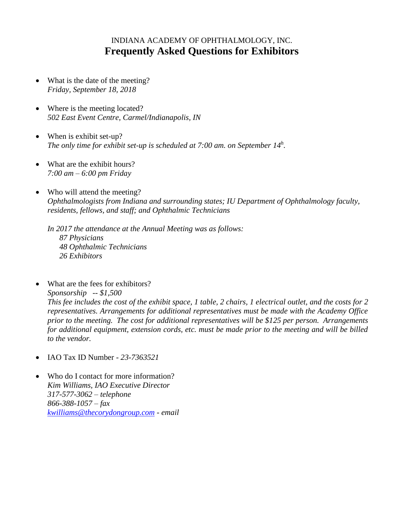### INDIANA ACADEMY OF OPHTHALMOLOGY, INC. **Frequently Asked Questions for Exhibitors**

- What is the date of the meeting? *Friday, September 18, 2018*
- Where is the meeting located? *502 East Event Centre, Carmel/Indianapolis, IN*
- When is exhibit set-up? *The only time for exhibit set-up is scheduled at 7:00 am. on September 14<sup>h</sup>.*
- What are the exhibit hours? *7:00 am – 6:00 pm Friday*
- Who will attend the meeting? *Ophthalmologists from Indiana and surrounding states; IU Department of Ophthalmology faculty, residents, fellows, and staff; and Ophthalmic Technicians*

*In 2017 the attendance at the Annual Meeting was as follows: 87 Physicians 48 Ophthalmic Technicians 26 Exhibitors*

- What are the fees for exhibitors? *Sponsorship -- \$1,500 This fee includes the cost of the exhibit space, 1 table, 2 chairs, 1 electrical outlet, and the costs for 2 representatives. Arrangements for additional representatives must be made with the Academy Office prior to the meeting. The cost for additional representatives will be \$125 per person. Arrangements for additional equipment, extension cords, etc. must be made prior to the meeting and will be billed to the vendor.*
- IAO Tax ID Number *23-7363521*
- Who do I contact for more information? *Kim Williams, IAO Executive Director 317-577-3062 – telephone 866-388-1057 – fax [kwilliams@thecorydongroup.com](mailto:kwilliams@thecorydongroup.com) - email*